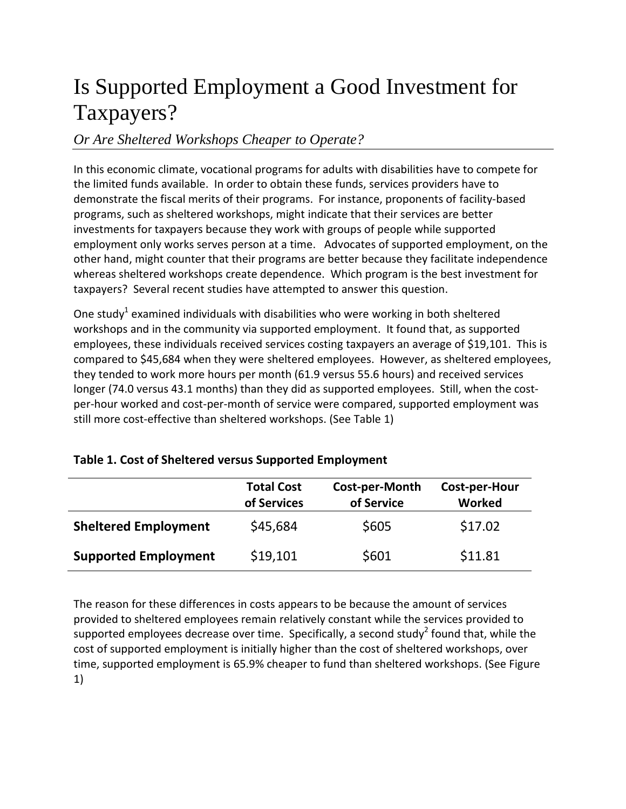## Is Supported Employment a Good Investment for Taxpayers?

## *Or Are Sheltered Workshops Cheaper to Operate?*

In this economic climate, vocational programs for adults with disabilities have to compete for the limited funds available. In order to obtain these funds, services providers have to demonstrate the fiscal merits of their programs. For instance, proponents of facility-based programs, such as sheltered workshops, might indicate that their services are better investments for taxpayers because they work with groups of people while supported employment only works serves person at a time. Advocates of supported employment, on the other hand, might counter that their programs are better because they facilitate independence whereas sheltered workshops create dependence. Which program is the best investment for taxpayers? Several recent studies have attempted to answer this question.

One study<sup>1</sup> examined individuals with disabilities who were working in both sheltered workshops and in the community via supported employment. It found that, as supported employees, these individuals received services costing taxpayers an average of \$19,101. This is compared to \$45,684 when they were sheltered employees. However, as sheltered employees, they tended to work more hours per month (61.9 versus 55.6 hours) and received services longer (74.0 versus 43.1 months) than they did as supported employees. Still, when the costper-hour worked and cost-per-month of service were compared, supported employment was still more cost-effective than sheltered workshops. (See Table 1)

| Table 1. Cost of Sheltered versus Supported Employment |  |  |
|--------------------------------------------------------|--|--|
|--------------------------------------------------------|--|--|

|                             | <b>Total Cost</b><br>of Services | Cost-per-Month<br>of Service | Cost-per-Hour<br>Worked |
|-----------------------------|----------------------------------|------------------------------|-------------------------|
| <b>Sheltered Employment</b> | \$45,684                         | \$605                        | \$17.02                 |
| <b>Supported Employment</b> | \$19,101                         | \$601                        | \$11.81                 |

The reason for these differences in costs appears to be because the amount of services provided to sheltered employees remain relatively constant while the services provided to supported employees decrease over time. Specifically, a second study<sup>2</sup> found that, while the cost of supported employment is initially higher than the cost of sheltered workshops, over time, supported employment is 65.9% cheaper to fund than sheltered workshops. (See Figure 1)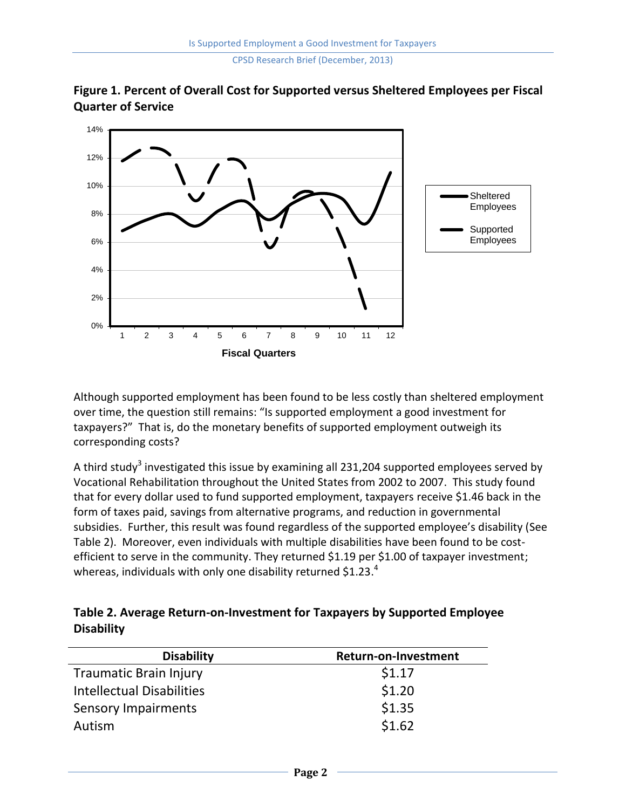CPSD Research Brief (December, 2013)





Although supported employment has been found to be less costly than sheltered employment over time, the question still remains: "Is supported employment a good investment for taxpayers?" That is, do the monetary benefits of supported employment outweigh its corresponding costs?

A third study<sup>3</sup> investigated this issue by examining all 231,204 supported employees served by Vocational Rehabilitation throughout the United States from 2002 to 2007. This study found that for every dollar used to fund supported employment, taxpayers receive \$1.46 back in the form of taxes paid, savings from alternative programs, and reduction in governmental subsidies. Further, this result was found regardless of the supported employee's disability (See Table 2). Moreover, even individuals with multiple disabilities have been found to be costefficient to serve in the community. They returned \$1.19 per \$1.00 of taxpayer investment; whereas, individuals with only one disability returned \$1.23.<sup>4</sup>

## **Table 2. Average Return-on-Investment for Taxpayers by Supported Employee Disability**

| <b>Disability</b>                | Return-on-Investment |
|----------------------------------|----------------------|
| <b>Traumatic Brain Injury</b>    | \$1.17               |
| <b>Intellectual Disabilities</b> | \$1.20               |
| Sensory Impairments              | \$1.35               |
| Autism                           | \$1.62               |